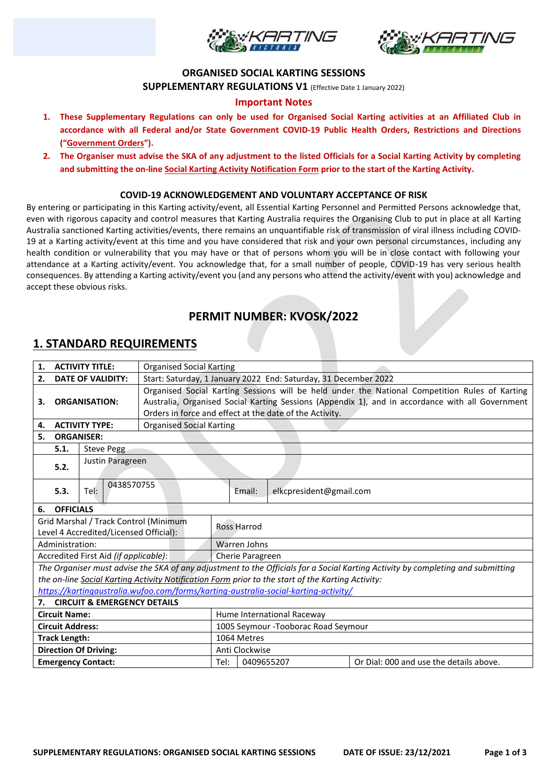



### **ORGANISED SOCIAL KARTING SESSIONS**

**SUPPLEMENTARY REGULATIONS V1** (Effective Date 1 January 2022)

## **Important Notes**

- **1. These Supplementary Regulations can only be used for Organised Social Karting activities at an Affiliated Club in accordance with all Federal and/or State Government COVID-19 Public Health Orders, Restrictions and Directions ("Government Orders").**
- **2. The Organiser must advise the SKA of any adjustment to the listed Officials for a Social Karting Activity by completing and submitting the on-line Social Karting Activity Notification Form prior to the start of the Karting Activity.**

### **COVID-19 ACKNOWLEDGEMENT AND VOLUNTARY ACCEPTANCE OF RISK**

By entering or participating in this Karting activity/event, all Essential Karting Personnel and Permitted Persons acknowledge that, even with rigorous capacity and control measures that Karting Australia requires the Organising Club to put in place at all Karting Australia sanctioned Karting activities/events, there remains an unquantifiable risk of transmission of viral illness including COVID-19 at a Karting activity/event at this time and you have considered that risk and your own personal circumstances, including any health condition or vulnerability that you may have or that of persons whom you will be in close contact with following your attendance at a Karting activity/event. You acknowledge that, for a small number of people, COVID-19 has very serious health consequences. By attending a Karting activity/event you (and any persons who attend the activity/event with you) acknowledge and accept these obvious risks.

# **PERMIT NUMBER: KVOSK/2022**

## **1. STANDARD REQUIREMENTS**

| 1.                                     |                                                                                                                                 | <b>ACTIVITY TITLE:</b>                | <b>Organised Social Karting</b>                                                                  |                                      |                    |                         |                                         |
|----------------------------------------|---------------------------------------------------------------------------------------------------------------------------------|---------------------------------------|--------------------------------------------------------------------------------------------------|--------------------------------------|--------------------|-------------------------|-----------------------------------------|
| <b>DATE OF VALIDITY:</b><br>2.         |                                                                                                                                 |                                       | Start: Saturday, 1 January 2022 End: Saturday, 31 December 2022                                  |                                      |                    |                         |                                         |
| <b>ORGANISATION:</b><br>З.             |                                                                                                                                 |                                       | Organised Social Karting Sessions will be held under the National Competition Rules of Karting   |                                      |                    |                         |                                         |
|                                        |                                                                                                                                 |                                       | Australia, Organised Social Karting Sessions (Appendix 1), and in accordance with all Government |                                      |                    |                         |                                         |
|                                        |                                                                                                                                 |                                       | Orders in force and effect at the date of the Activity.                                          |                                      |                    |                         |                                         |
| <b>ACTIVITY TYPE:</b><br>4.            |                                                                                                                                 |                                       | <b>Organised Social Karting</b>                                                                  |                                      |                    |                         |                                         |
| 5.                                     | <b>ORGANISER:</b>                                                                                                               |                                       |                                                                                                  |                                      |                    |                         |                                         |
| 5.1.<br><b>Steve Pegg</b>              |                                                                                                                                 |                                       |                                                                                                  |                                      |                    |                         |                                         |
|                                        |                                                                                                                                 | Justin Paragreen                      |                                                                                                  |                                      |                    |                         |                                         |
|                                        | 5.2.                                                                                                                            |                                       |                                                                                                  |                                      |                    |                         |                                         |
|                                        |                                                                                                                                 | 0438570755                            |                                                                                                  |                                      |                    |                         |                                         |
|                                        | 5.3.                                                                                                                            | Tel:                                  |                                                                                                  |                                      | Email:             | elkcpresident@gmail.com |                                         |
| 6.                                     | <b>OFFICIALS</b>                                                                                                                |                                       |                                                                                                  |                                      |                    |                         |                                         |
|                                        | Grid Marshal / Track Control (Minimum                                                                                           |                                       |                                                                                                  |                                      |                    |                         |                                         |
| Level 4 Accredited/Licensed Official): |                                                                                                                                 |                                       |                                                                                                  |                                      | <b>Ross Harrod</b> |                         |                                         |
|                                        | Administration:                                                                                                                 |                                       |                                                                                                  | Warren Johns                         |                    |                         |                                         |
|                                        |                                                                                                                                 | Accredited First Aid (if applicable): |                                                                                                  | Cherie Paragreen                     |                    |                         |                                         |
|                                        | The Organiser must advise the SKA of any adjustment to the Officials for a Social Karting Activity by completing and submitting |                                       |                                                                                                  |                                      |                    |                         |                                         |
|                                        | the on-line Social Karting Activity Notification Form prior to the start of the Karting Activity:                               |                                       |                                                                                                  |                                      |                    |                         |                                         |
|                                        | https://kartingaustralia.wufoo.com/forms/karting-australia-social-karting-activity/                                             |                                       |                                                                                                  |                                      |                    |                         |                                         |
| 7.                                     | <b>CIRCUIT &amp; EMERGENCY DETAILS</b>                                                                                          |                                       |                                                                                                  |                                      |                    |                         |                                         |
| <b>Circuit Name:</b>                   |                                                                                                                                 |                                       |                                                                                                  | Hume International Raceway           |                    |                         |                                         |
| <b>Circuit Address:</b>                |                                                                                                                                 |                                       |                                                                                                  | 1005 Seymour - Tooborac Road Seymour |                    |                         |                                         |
| <b>Track Length:</b>                   |                                                                                                                                 |                                       |                                                                                                  | 1064 Metres                          |                    |                         |                                         |
| <b>Direction Of Driving:</b>           |                                                                                                                                 |                                       |                                                                                                  | Anti Clockwise                       |                    |                         |                                         |
| <b>Emergency Contact:</b>              |                                                                                                                                 |                                       |                                                                                                  | Tel:                                 | 0409655207         |                         | Or Dial: 000 and use the details above. |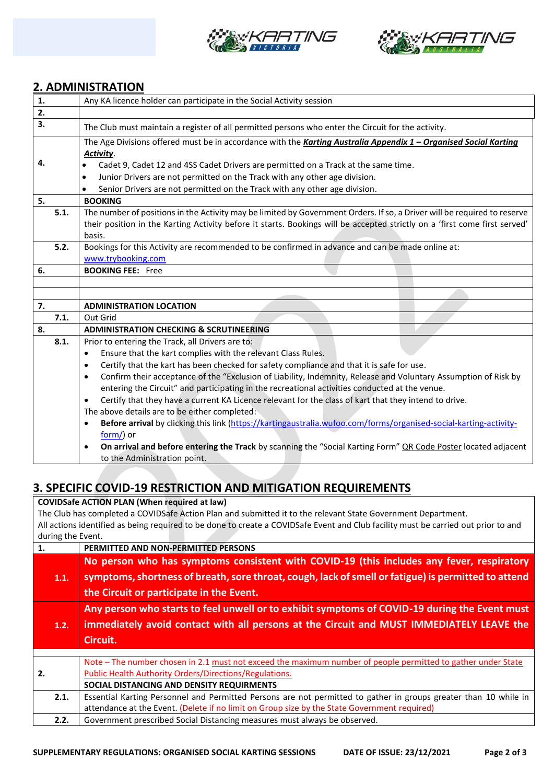



## **2. ADMINISTRATION**

| 1. |      | Any KA licence holder can participate in the Social Activity session                                                                                                                                                           |  |  |  |
|----|------|--------------------------------------------------------------------------------------------------------------------------------------------------------------------------------------------------------------------------------|--|--|--|
| 2. |      |                                                                                                                                                                                                                                |  |  |  |
| 3. |      | The Club must maintain a register of all permitted persons who enter the Circuit for the activity.                                                                                                                             |  |  |  |
|    |      | The Age Divisions offered must be in accordance with the Karting Australia Appendix 1 - Organised Social Karting<br>Activity.                                                                                                  |  |  |  |
| 4. |      | Cadet 9, Cadet 12 and 4SS Cadet Drivers are permitted on a Track at the same time.                                                                                                                                             |  |  |  |
|    |      | Junior Drivers are not permitted on the Track with any other age division.<br>$\bullet$                                                                                                                                        |  |  |  |
|    |      | Senior Drivers are not permitted on the Track with any other age division.                                                                                                                                                     |  |  |  |
| 5. |      | <b>BOOKING</b>                                                                                                                                                                                                                 |  |  |  |
|    | 5.1. | The number of positions in the Activity may be limited by Government Orders. If so, a Driver will be required to reserve                                                                                                       |  |  |  |
|    |      | their position in the Karting Activity before it starts. Bookings will be accepted strictly on a 'first come first served'                                                                                                     |  |  |  |
|    |      | basis.                                                                                                                                                                                                                         |  |  |  |
|    | 5.2. | Bookings for this Activity are recommended to be confirmed in advance and can be made online at:                                                                                                                               |  |  |  |
|    |      | www.trybooking.com                                                                                                                                                                                                             |  |  |  |
| 6. |      | <b>BOOKING FEE: Free</b>                                                                                                                                                                                                       |  |  |  |
|    |      |                                                                                                                                                                                                                                |  |  |  |
|    |      |                                                                                                                                                                                                                                |  |  |  |
| 7. |      | <b>ADMINISTRATION LOCATION</b>                                                                                                                                                                                                 |  |  |  |
|    | 7.1. | Out Grid                                                                                                                                                                                                                       |  |  |  |
| 8. |      | <b>ADMINISTRATION CHECKING &amp; SCRUTINEERING</b>                                                                                                                                                                             |  |  |  |
|    | 8.1. | Prior to entering the Track, all Drivers are to:                                                                                                                                                                               |  |  |  |
|    |      | Ensure that the kart complies with the relevant Class Rules.<br>$\bullet$                                                                                                                                                      |  |  |  |
|    |      | Certify that the kart has been checked for safety compliance and that it is safe for use.<br>$\bullet$                                                                                                                         |  |  |  |
|    |      | Confirm their acceptance of the "Exclusion of Liability, Indemnity, Release and Voluntary Assumption of Risk by<br>$\bullet$<br>entering the Circuit" and participating in the recreational activities conducted at the venue. |  |  |  |
|    |      | Certify that they have a current KA Licence relevant for the class of kart that they intend to drive.<br>$\bullet$                                                                                                             |  |  |  |
|    |      | The above details are to be either completed:                                                                                                                                                                                  |  |  |  |
|    |      | Before arrival by clicking this link (https://kartingaustralia.wufoo.com/forms/organised-social-karting-activity-                                                                                                              |  |  |  |
|    |      | form/) or                                                                                                                                                                                                                      |  |  |  |
|    |      | On arrival and before entering the Track by scanning the "Social Karting Form" QR Code Poster located adjacent                                                                                                                 |  |  |  |
|    |      | to the Administration point.                                                                                                                                                                                                   |  |  |  |
|    |      |                                                                                                                                                                                                                                |  |  |  |

# **3. SPECIFIC COVID-19 RESTRICTION AND MITIGATION REQUIREMENTS**

**COVIDSafe ACTION PLAN (When required at law)**

The Club has completed a COVIDSafe Action Plan and submitted it to the relevant State Government Department. All actions identified as being required to be done to create a COVIDSafe Event and Club facility must be carried out prior to and during the Event.

| 1. |      | PERMITTED AND NON-PERMITTED PERSONS                                                                              |
|----|------|------------------------------------------------------------------------------------------------------------------|
|    |      | No person who has symptoms consistent with COVID-19 (this includes any fever, respiratory                        |
|    | 1.1. | symptoms, shortness of breath, sore throat, cough, lack of smell or fatigue) is permitted to attend              |
|    |      | the Circuit or participate in the Event.                                                                         |
|    |      | Any person who starts to feel unwell or to exhibit symptoms of COVID-19 during the Event must                    |
|    | 1.2. | immediately avoid contact with all persons at the Circuit and MUST IMMEDIATELY LEAVE the                         |
|    |      | Circuit.                                                                                                         |
|    |      |                                                                                                                  |
|    |      |                                                                                                                  |
|    |      | Note - The number chosen in 2.1 must not exceed the maximum number of people permitted to gather under State     |
| 2. |      | Public Health Authority Orders/Directions/Regulations.                                                           |
|    |      | SOCIAL DISTANCING AND DENSITY REQUIRMENTS                                                                        |
|    | 2.1. | Essential Karting Personnel and Permitted Persons are not permitted to gather in groups greater than 10 while in |
|    |      | attendance at the Event. (Delete if no limit on Group size by the State Government required)                     |
|    | 2.2. | Government prescribed Social Distancing measures must always be observed.                                        |